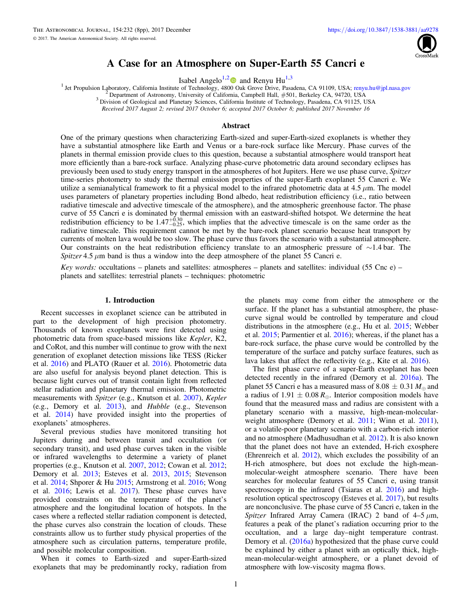

# A Case for an Atmosphere on Super-Earth 55 Cancri e

Isabel Angelo<sup>1,[2](https://orcid.org/0000-0002-9751-2664)</sup> and Renyu Hu<sup>1,3</sup>

<sup>1</sup> Jet Propulsion Laboratory, California Institute of Technology, 48[0](https://orcid.org/0000-0002-9751-2664)0 [O](https://orcid.org/0000-0002-9751-2664)ak Grove Drive, Pasadena, CA 91109, USA; [renyu.hu@jpl.nasa.gov](mailto:renyu.hu@jpl.nasa.gov)<br><sup>2</sup> Department of Astronomy, University of California, Campbell Hall, #501, Berkeley

Received 2017 August 2; revised 2017 October 6; accepted 2017 October 8; published 2017 November 16

# Abstract

One of the primary questions when characterizing Earth-sized and super-Earth-sized exoplanets is whether they have a substantial atmosphere like Earth and Venus or a bare-rock surface like Mercury. Phase curves of the planets in thermal emission provide clues to this question, because a substantial atmosphere would transport heat more efficiently than a bare-rock surface. Analyzing phase-curve photometric data around secondary eclipses has previously been used to study energy transport in the atmospheres of hot Jupiters. Here we use phase curve, Spitzer time-series photometry to study the thermal emission properties of the super-Earth exoplanet 55 Cancri e. We utilize a semianalytical framework to fit a physical model to the infrared photometric data at 4.5  $\mu$ m. The model uses parameters of planetary properties including Bond albedo, heat redistribution efficiency (i.e., ratio between radiative timescale and advective timescale of the atmosphere), and the atmospheric greenhouse factor. The phase curve of 55 Cancri e is dominated by thermal emission with an eastward-shifted hotspot. We determine the heat redistribution efficiency to be  $1.47^{+0.30}_{-0.25}$ , which implies that the advective timescale is on the same order as the radiative timescale. This requirement cannot be met by the bare-rock planet scenario because heat transport by currents of molten lava would be too slow. The phase curve thus favors the scenario with a substantial atmosphere. Our constraints on the heat redistribution efficiency translate to an atmospheric pressure of ∼1.4 bar. The Spitzer 4.5  $\mu$ m band is thus a window into the deep atmosphere of the planet 55 Cancri e.

Key words: occultations – planets and satellites: atmospheres – planets and satellites: individual (55 Cnc e) – planets and satellites: terrestrial planets – techniques: photometric

#### 1. Introduction

Recent successes in exoplanet science can be attributed in part to the development of high precision photometry. Thousands of known exoplanets were first detected using photometric data from space-based missions like Kepler, K2, and CoRot, and this number will continue to grow with the next generation of exoplanet detection missions like TESS (Ricker et al. [2016](#page-6-0)) and PLATO (Rauer et al. [2016](#page-6-0)). Photometric data are also useful for analysis beyond planet detection. This is because light curves out of transit contain light from reflected stellar radiation and planetary thermal emission. Photometric measurements with Spitzer (e.g., Knutson et al. [2007](#page-6-0)), Kepler (e.g., Demory et al. [2013](#page-6-0)), and Hubble (e.g., Stevenson et al. [2014](#page-7-0)) have provided insight into the properties of exoplanets' atmospheres.

Several previous studies have monitored transiting hot Jupiters during and between transit and occultation (or secondary transit), and used phase curves taken in the visible or infrared wavelengths to determine a variety of planet properties (e.g., Knutson et al. [2007,](#page-6-0) [2012](#page-6-0); Cowan et al. [2012](#page-6-0); Demory et al. [2013;](#page-6-0) Esteves et al. [2013,](#page-6-0) [2015](#page-6-0); Stevenson et al. [2014](#page-7-0); Shporer & Hu [2015;](#page-6-0) Armstrong et al. [2016](#page-6-0); Wong et al. [2016](#page-7-0); Lewis et al. [2017](#page-6-0)). These phase curves have provided constraints on the temperature of the planet's atmosphere and the longitudinal location of hotspots. In the cases where a reflected stellar radiation component is detected, the phase curves also constrain the location of clouds. These constraints allow us to further study physical properties of the atmosphere such as circulation patterns, temperature profile, and possible molecular composition.

When it comes to Earth-sized and super-Earth-sized exoplanets that may be predominantly rocky, radiation from the planets may come from either the atmosphere or the surface. If the planet has a substantial atmosphere, the phasecurve signal would be controlled by temperature and cloud distributions in the atmosphere (e.g., Hu et al. [2015](#page-6-0); Webber et al. [2015;](#page-7-0) Parmentier et al. [2016](#page-6-0)); whereas, if the planet has a bare-rock surface, the phase curve would be controlled by the temperature of the surface and patchy surface features, such as lava lakes that affect the reflectivity (e.g., Kite et al. [2016](#page-6-0)).

The first phase curve of a super-Earth exoplanet has been detected recently in the infrared (Demory et al. [2016a](#page-6-0)). The planet 55 Cancri e has a measured mass of 8.08  $\pm$  0.31  $M_{\odot}$  and a radius of 1.91  $\pm$  0.08  $R_{\oplus}$ . Interior composition models have found that the measured mass and radius are consistent with a planetary scenario with a massive, high-mean-molecular-weight atmosphere (Demory et al. [2011](#page-7-0); Winn et al. 2011), or a volatile-poor planetary scenario with a carbon-rich interior and no atmosphere (Madhusudhan et al. [2012](#page-6-0)). It is also known that the planet does not have an extended, H-rich exosphere (Ehrenreich et al. [2012](#page-6-0)), which excludes the possibility of an H-rich atmosphere, but does not exclude the high-meanmolecular-weight atmosphere scenario. There have been searches for molecular features of 55 Cancri e, using transit spectroscopy in the infrared (Tsiaras et al. [2016](#page-7-0)) and highresolution optical spectroscopy (Esteves et al. [2017](#page-6-0)), but results are nonconclusive. The phase curve of 55 Cancri e, taken in the Spitzer Infrared Array Camera (IRAC) 2 band of  $4-5 \mu m$ , features a peak of the planet's radiation occurring prior to the occultation, and a large day–night temperature contrast. Demory et al. ([2016a](#page-6-0)) hypothesized that the phase curve could be explained by either a planet with an optically thick, highmean-molecular-weight atmosphere, or a planet devoid of atmosphere with low-viscosity magma flows.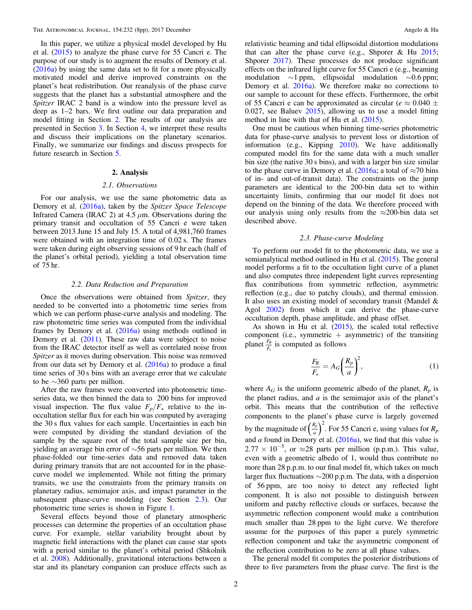<span id="page-1-0"></span>In this paper, we utilize a physical model developed by Hu et al. ([2015](#page-6-0)) to analyze the phase curve for 55 Cancri e. The purpose of our study is to augment the results of Demory et al. ([2016a](#page-6-0)) by using the same data set to fit for a more physically motivated model and derive improved constraints on the planet's heat redistribution. Our reanalysis of the phase curve suggests that the planet has a substantial atmosphere and the Spitzer IRAC 2 band is a window into the pressure level as deep as 1–2 bars. We first outline our data preparation and model fitting in Section 2. The results of our analysis are presented in Section [3.](#page-3-0) In Section [4,](#page-4-0) we interpret these results and discuss their implications on the planetary scenarios. Finally, we summarize our findings and discuss prospects for future research in Section [5.](#page-6-0)

### 2. Analysis

# 2.1. Observations

For our analysis, we use the same photometric data as Demory et al. ([2016a](#page-6-0)), taken by the Spitzer Space Telescope Infrared Camera (IRAC 2) at 4.5  $\mu$ m. Observations during the primary transit and occultation of 55 Cancri e were taken between 2013 June 15 and July 15. A total of 4,981,760 frames were obtained with an integration time of 0.02 s. The frames were taken during eight observing sessions of 9 hr each (half of the planet's orbital period), yielding a total observation time of 75 hr.

### 2.2. Data Reduction and Preparation

Once the observations were obtained from Spitzer, they needed to be converted into a photometric time series from which we can perform phase-curve analysis and modeling. The raw photometric time series was computed from the individual frames by Demory et al. ([2016a](#page-6-0)) using methods outlined in Demory et al. ([2011](#page-6-0)). These raw data were subject to noise from the IRAC detector itself as well as correlated noise from Spitzer as it moves during observation. This noise was removed from our data set by Demory et al.  $(2016a)$  $(2016a)$  $(2016a)$  to produce a final time series of 30 s bins with an average error that we calculate to be ∼360 parts per million.

After the raw frames were converted into photometric timeseries data, we then binned the data to 200 bins for improved visual inspection. The flux value  $F_p/F_\star$  relative to the inoccultation stellar flux for each bin was computed by averaging the 30 s flux values for each sample. Uncertainties in each bin were computed by dividing the standard deviation of the sample by the square root of the total sample size per bin, yielding an average bin error of ∼56 parts per million. We then phase-folded our time-series data and removed data taken during primary transits that are not accounted for in the phasecurve model we implemented. While not fitting the primary transits, we use the constraints from the primary transits on planetary radius, semimajor axis, and impact parameter in the subsequent phase-curve modeling (see Section 2.3). Our photometric time series is shown in Figure [1](#page-2-0).

Several effects beyond those of planetary atmospheric processes can determine the properties of an occultation phase curve. For example, stellar variability brought about by magnetic field interactions with the planet can cause star spots with a period similar to the planet's orbital period (Shkolnik et al. [2008](#page-6-0)). Additionally, gravitational interactions between a star and its planetary companion can produce effects such as relativistic beaming and tidal ellipsoidal distortion modulations that can alter the phase curve (e.g., Shporer  $\&$  Hu [2015](#page-6-0); Shporer [2017](#page-6-0)). These processes do not produce significant effects on the infrared light curve for 55 Cancri e (e.g., beaming modulation ∼1 ppm, ellipsoidal modulation ∼0.6 ppm; Demory et al. [2016a](#page-6-0)). We therefore make no corrections to our sample to account for these effects. Furthermore, the orbit of 55 Cancri e can be approximated as circular ( $e \approx 0.040 \pm$ 0.027, see Baluev [2015](#page-6-0)), allowing us to use a model fitting method in line with that of Hu et al. ([2015](#page-6-0)).

One must be cautious when binning time-series photometric data for phase-curve analysis to prevent loss or distortion of information (e.g., Kipping [2010](#page-6-0)). We have additionally computed model fits for the same data with a much smaller bin size (the native 30 s bins), and with a larger bin size similar to the phase curve in Demory et al. ([2016a](#page-6-0); a total of  $\approx$ 70 bins of in- and out-of-transit data). The constraints on the jump parameters are identical to the 200-bin data set to within uncertainty limits, confirming that our model fit does not depend on the binning of the data. We therefore proceed with our analysis using only results from the  $\approx$ 200-bin data set described above.

# 2.3. Phase-curve Modeling

To perform our model fit to the photometric data, we use a semianalytical method outlined in Hu et al. ([2015](#page-6-0)). The general model performs a fit to the occultation light curve of a planet and also computes three independent light curves representing flux contributions from symmetric reflection, asymmetric reflection (e.g., due to patchy clouds), and thermal emission. It also uses an existing model of secondary transit (Mandel & Agol [2002](#page-6-0)) from which it can derive the phase-curve occultation depth, phase amplitude, and phase offset.

As shown in Hu et al. ([2015](#page-6-0)), the scaled total reflective component (i.e., symmetric  $+$  asymmetric) of the transiting planet  $\frac{F_R}{F_{\star}}$  $\frac{R}{k_{\star}}$  is computed as follows

$$
\frac{F_R}{F_\star} = A_G \left(\frac{R_p}{a}\right)^2,\tag{1}
$$

where  $A_G$  is the uniform geometric albedo of the planet,  $R_p$  is the planet radius, and  $a$  is the semimajor axis of the planet's orbit. This means that the contribution of the reflective components to the planet's phase curve is largely governed by the magnitude of  $\left(\frac{R_1}{a}\right)$  $\left(\frac{R_p}{a}\right)^2$ . For 55 Cancri e, using values for  $R_p$ and  $a$  found in Demory et al.  $(2016a)$  $(2016a)$  $(2016a)$ , we find that this value is  $2.77 \times 10^{-5}$ , or  $\approx 28$  parts per million (p.p.m.). This value, even with a geometric albedo of 1, would thus contribute no more than 28 p.p.m. to our final model fit, which takes on much larger flux fluctuations ∼200 p.p.m. The data, with a dispersion of 56 ppm, are too noisy to detect any reflected light component. It is also not possible to distinguish between uniform and patchy reflective clouds or surfaces, because the asymmetric reflection component would make a contribution much smaller than 28 ppm to the light curve. We therefore assume for the purposes of this paper a purely symmetric reflection component and take the asymmetric component of the reflection contribution to be zero at all phase values.

The general model fit computes the posterior distributions of three to five parameters from the phase curve. The first is the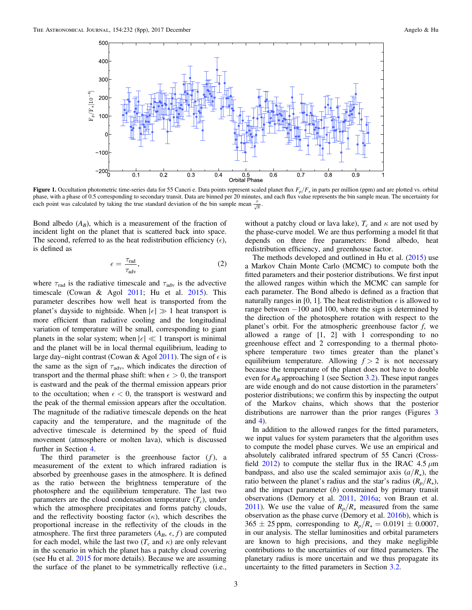<span id="page-2-0"></span>

Figure 1. Occultation photometric time-series data for 55 Cancri e. Data points represent scaled planet flux  $F_p/F<sub>x</sub>$  in parts per million (ppm) and are plotted vs. orbital phase, with a phase of 0.5 corresponding to secondary transit. Data are binned per 20 minutes, and each flux value represents the bin sample mean. The uncertainty for each point was calculated by taking the true standard deviation of the bin sample mean  $\frac{\sigma}{\sqrt{N}}$ .

Bond albedo  $(A_B)$ , which is a measurement of the fraction of incident light on the planet that is scattered back into space. The second, referred to as the heat redistribution efficiency  $(\epsilon)$ , is defined as

$$
\epsilon = \frac{\tau_{\text{rad}}}{\tau_{\text{adv}}},\tag{2}
$$

where  $\tau_{\text{rad}}$  is the radiative timescale and  $\tau_{\text{adv}}$  is the advective timescale (Cowan & Agol  $2011$ ; Hu et al.  $2015$ ). This parameter describes how well heat is transported from the planet's dayside to nightside. When  $|\epsilon| \gg 1$  heat transport is more efficient than radiative cooling and the longitudinal variation of temperature will be small, corresponding to giant planets in the solar system; when  $|\epsilon| \ll 1$  transport is minimal and the planet will be in local thermal equilibrium, leading to large day–night contrast (Cowan & Agol [2011](#page-6-0)). The sign of  $\epsilon$  is the same as the sign of  $\tau_{\text{adv}}$ , which indicates the direction of transport and the thermal phase shift: when  $\epsilon > 0$ , the transport is eastward and the peak of the thermal emission appears prior to the occultation; when  $\epsilon$  < 0, the transport is westward and the peak of the thermal emission appears after the occultation. The magnitude of the radiative timescale depends on the heat capacity and the temperature, and the magnitude of the advective timescale is determined by the speed of fluid movement (atmosphere or molten lava), which is discussed further in Section [4.](#page-4-0)

The third parameter is the greenhouse factor  $(f)$ , a measurement of the extent to which infrared radiation is absorbed by greenhouse gases in the atmosphere. It is defined as the ratio between the brightness temperature of the photosphere and the equilibrium temperature. The last two parameters are the cloud condensation temperature  $(T_c)$ , under which the atmosphere precipitates and forms patchy clouds, and the reflectivity boosting factor  $(\kappa)$ , which describes the proportional increase in the reflectivity of the clouds in the atmosphere. The first three parameters  $(A_B, \epsilon, f)$  are computed for each model, while the last two  $(T_c \text{ and } \kappa)$  are only relevant in the scenario in which the planet has a patchy cloud covering (see Hu et al. [2015](#page-6-0) for more details). Because we are assuming the surface of the planet to be symmetrically reflective (i.e.,

without a patchy cloud or lava lake),  $T_c$  and  $\kappa$  are not used by the phase-curve model. We are thus performing a model fit that depends on three free parameters: Bond albedo, heat redistribution efficiency, and greenhouse factor.

The methods developed and outlined in Hu et al.  $(2015)$  $(2015)$  $(2015)$  use a Markov Chain Monte Carlo (MCMC) to compute both the fitted parameters and their posterior distributions. We first input the allowed ranges within which the MCMC can sample for each parameter. The Bond albedo is defined as a fraction that naturally ranges in [0, 1]. The heat redistribution  $\epsilon$  is allowed to range between −100 and 100, where the sign is determined by the direction of the photosphere rotation with respect to the planet's orbit. For the atmospheric greenhouse factor  $f$ , we allowed a range of [1, 2] with 1 corresponding to no greenhouse effect and 2 corresponding to a thermal photosphere temperature two times greater than the planet's equilibrium temperature. Allowing  $f > 2$  is not necessary because the temperature of the planet does not have to double even for  $A_B$  approaching 1 (see Section [3.2](#page-3-0)). These input ranges are wide enough and do not cause distortion in the parameters' posterior distributions; we confirm this by inspecting the output of the Markov chains, which shows that the posterior distributions are narrower than the prior ranges (Figures [3](#page-5-0) and [4](#page-5-0)).

In addition to the allowed ranges for the fitted parameters, we input values for system parameters that the algorithm uses to compute the model phase curves. We use an empirical and absolutely calibrated infrared spectrum of 55 Cancri (Cross-field [2012](#page-6-0)) to compute the stellar flux in the IRAC 4.5  $\mu$ m bandpass, and also use the scaled semimajor axis  $(a/R<sub>\star</sub>)$ , the ratio between the planet's radius and the star's radius  $(R_p/R_\star)$ , and the impact parameter  $(b)$  constrained by primary transit observations (Demory et al. [2011](#page-6-0), [2016a](#page-6-0); von Braun et al. [2011](#page-7-0)). We use the value of  $R_p/R<sub>\star</sub>$  measured from the same observation as the phase curve (Demory et al. [2016b](#page-6-0)), which is  $365 \pm 25$  ppm, corresponding to  $R_p/R_\star = 0.0191 \pm 0.0007$ , in our analysis. The stellar luminosities and orbital parameters are known to high precisions, and they make negligible contributions to the uncertainties of our fitted parameters. The planetary radius is more uncertain and we thus propagate its uncertainty to the fitted parameters in Section [3.2](#page-3-0).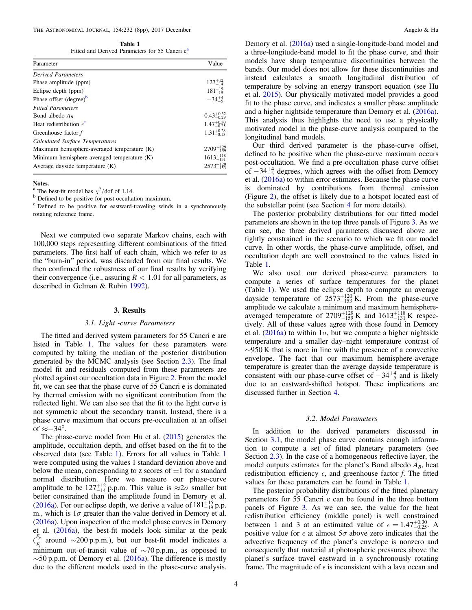<span id="page-3-0"></span>Table 1 Fitted and Derived Parameters for 55 Cancri e<sup>a</sup>

| Parameter                                   | Value                  |
|---------------------------------------------|------------------------|
| <b>Derived Parameters</b>                   |                        |
| Phase amplitude (ppm)                       | $127^{+12}_{-14}$      |
| Eclipse depth (ppm)                         | $181^{+15}_{-19}$      |
| Phase offset (degree) <sup>b</sup>          | $-34\frac{+4}{5}$      |
| <b>Fitted Parameters</b>                    |                        |
| Bond albedo $A_R$                           | $0.43_{-0.29}^{+0.32}$ |
| Heat redistribution $\epsilon^c$            | $1.47^{+0.30}_{-0.25}$ |
| Greenhouse factor f                         | $1.31_{-0.13}^{+0.28}$ |
| Calculated Surface Temperatures             |                        |
| Maximum hemisphere-averaged temperature (K) | $2709^{+129}_{-159}$   |
| Minimum hemisphere-averaged temperature (K) | $1613_{-131}^{+118}$   |
| Average dayside temperature $(K)$           | $2573^{+120}_{-152}$   |

Notes.

<sup>a</sup> The best-fit model has  $\chi^2$ /dof of 1.14.

b Defined to be positive for post-occultation maximum.<br>
c Defined to be positive for eastward-traveling winds in a synchronously rotating reference frame.

Next we computed two separate Markov chains, each with 100,000 steps representing different combinations of the fitted parameters. The first half of each chain, which we refer to as the "burn-in" period, was discarded from our final results. We then confirmed the robustness of our final results by verifying their convergence (i.e., assuring  $R < 1.01$  for all parameters, as described in Gelman & Rubin [1992](#page-6-0)).

#### 3. Results

### 3.1. Light -curve Parameters

The fitted and derived system parameters for 55 Cancri e are listed in Table 1. The values for these parameters were computed by taking the median of the posterior distribution generated by the MCMC analysis (see Section [2.3](#page-1-0)). The final model fit and residuals computed from these parameters are plotted against our occultation data in Figure [2](#page-4-0). From the model fit, we can see that the phase curve of 55 Cancri e is dominated by thermal emission with no significant contribution from the reflected light. We can also see that the fit to the light curve is not symmetric about the secondary transit. Instead, there is a phase curve maximum that occurs pre-occultation at an offset of  $\approx$ −34°.

The phase-curve model from Hu et al.  $(2015)$  $(2015)$  $(2015)$  generates the amplitude, occultation depth, and offset based on the fit to the observed data (see Table 1). Errors for all values in Table 1 were computed using the values 1 standard deviation above and below the mean, corresponding to z scores of  $\pm 1$  for a standard normal distribution. Here we measure our phase-curve amplitude to be  $127^{+12}_{-14}$  p.p.m. This value is  $\approx 2\sigma$  smaller but better constrained than the amplitude found in Demory et al. ([2016a](#page-6-0)). For our eclipse depth, we derive a value of  $181^{+15}_{-19}$  p.p. m., which is  $1\sigma$  greater than the value derived in Demory et al. ([2016a](#page-6-0)). Upon inspection of the model phase curves in Demory et al. ([2016a](#page-6-0)), the best-fit models look similar at the peak  $\left(\frac{F}{F}\right)$ *F p*  $\frac{p}{\lambda}$  around ∼200 p.p.m.), but our best-fit model indicates a minimum out-of-transit value of  $\sim$ 70 p.p.m., as opposed to  $\sim$ 50 p.p.m. of Demory et al. ([2016a](#page-6-0)). The difference is mostly due to the different models used in the phase-curve analysis. Demory et al. ([2016a](#page-6-0)) used a single-longitude-band model and a three-longitude-band model to fit the phase curve, and their models have sharp temperature discontinuities between the bands. Our model does not allow for these discontinuities and instead calculates a smooth longitudinal distribution of temperature by solving an energy transport equation (see Hu et al. [2015](#page-6-0)). Our physically motivated model provides a good fit to the phase curve, and indicates a smaller phase amplitude and a higher nightside temperature than Demory et al. ([2016a](#page-6-0)). This analysis thus highlights the need to use a physically motivated model in the phase-curve analysis compared to the longitudinal band models.

Our third derived parameter is the phase-curve offset, defined to be positive when the phase-curve maximum occurs post-occultation. We find a pre-occultation phase curve offset of  $-34^{+4}_{-5}$  degrees, which agrees with the offset from Demory et al. ([2016a](#page-6-0)) to within error estimates. Because the phase curve is dominated by contributions from thermal emission (Figure [2](#page-4-0)), the offset is likely due to a hotspot located east of the substellar point (see Section [4](#page-4-0) for more details).

The posterior probability distributions for our fitted model parameters are shown in the top three panels of Figure [3](#page-5-0). As we can see, the three derived parameters discussed above are tightly constrained in the scenario to which we fit our model curve. In other words, the phase-curve amplitude, offset, and occultation depth are well constrained to the values listed in Table 1.

We also used our derived phase-curve parameters to compute a series of surface temperatures for the planet (Table 1). We used the eclipse depth to compute an average dayside temperature of  $2573^{+120}_{-153}$  K. From the phase-curve amplitude we calculate a minimum and maximum hemisphereaveraged temperature of  $2709^{+129}_{-159}$  K and  $1613^{+118}_{-131}$  K respectively. All of these values agree with those found in Demory et al. ([2016a](#page-6-0)) to within  $1\sigma$ , but we compute a higher nightside temperature and a smaller day–night temperature contrast of  $\sim$ 950 K that is more in line with the presence of a convective envelope. The fact that our maximum hemisphere-average temperature is greater than the average dayside temperature is consistent with our phase-curve offset of  $-34^{+4}_{-5}$  and is likely due to an eastward-shifted hotspot. These implications are discussed further in Section [4.](#page-4-0)

# 3.2. Model Parameters

In addition to the derived parameters discussed in Section 3.1, the model phase curve contains enough information to compute a set of fitted planetary parameters (see Section [2.3](#page-1-0)). In the case of a homogeneous reflective layer, the model outputs estimates for the planet's Bond albedo  $A_B$ , heat redistribution efficiency  $\epsilon$ , and greenhouse factor f. The fitted values for these parameters can be found in Table 1.

The posterior probability distributions of the fitted planetary parameters for 55 Cancri e can be found in the three bottom panels of Figure [3](#page-5-0). As we can see, the value for the heat redistribution efficiency (middle panel) is well constrained between 1 and 3 at an estimated value of  $\epsilon = 1.47^{+0.30}_{-0.25}$ . A positive value for  $\epsilon$  at almost  $5\sigma$  above zero indicates that the advective frequency of the planet's envelope is nonzero and consequently that material at photospheric pressures above the planet's surface travel eastward in a synchronously rotating frame. The magnitude of  $\epsilon$  is inconsistent with a lava ocean and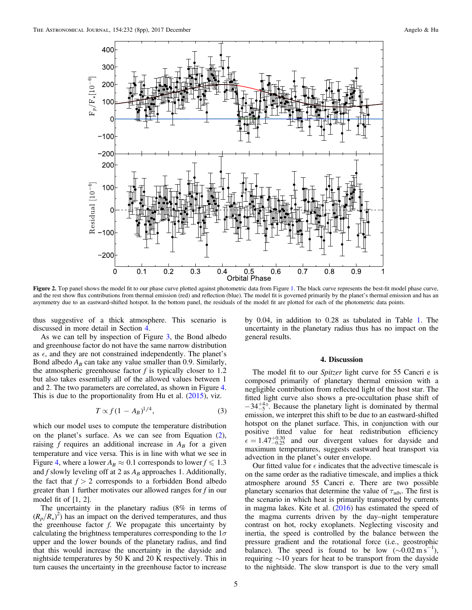<span id="page-4-0"></span>

Figure 2. Top panel shows the model fit to our phase curve plotted against photometric data from Figure [1](#page-2-0). The black curve represents the best-fit model phase curve, and the rest show flux contributions from thermal emission (red) and reflection (blue). The model fit is governed primarily by the planet's thermal emission and has an asymmetry due to an eastward-shifted hotspot. In the bottom panel, the residuals of the model fit are plotted for each of the photometric data points.

thus suggestive of a thick atmosphere. This scenario is discussed in more detail in Section 4.

As we can tell by inspection of Figure [3](#page-5-0), the Bond albedo and greenhouse factor do not have the same narrow distribution as  $\epsilon$ , and they are not constrained independently. The planet's Bond albedo  $A_B$  can take any value smaller than 0.9. Similarly, the atmospheric greenhouse factor  $f$  is typically closer to 1.2 but also takes essentially all of the allowed values between 1 and 2. The two parameters are correlated, as shown in Figure [4.](#page-5-0) This is due to the proportionality from Hu et al.  $(2015)$  $(2015)$  $(2015)$ , viz.

$$
T \propto f(1 - A_B)^{1/4},\tag{3}
$$

which our model uses to compute the temperature distribution on the planet's surface. As we can see from Equation ([2](#page-2-0)), raising  $f$  requires an additional increase in  $A_B$  for a given temperature and vice versa. This is in line with what we see in Figure [4](#page-5-0), where a lower  $A_B \approx 0.1$  corresponds to lower  $f \le 1.3$ and  $f$  slowly leveling off at 2 as  $A_B$  approaches 1. Additionally, the fact that  $f > 2$  corresponds to a forbidden Bond albedo greater than 1 further motivates our allowed ranges for f in our model fit of [1, 2].

The uncertainty in the planetary radius (8% in terms of  $(R_p/R<sub>\star</sub>)<sup>2</sup>$ ) has an impact on the derived temperatures, and thus the greenhouse factor  $f$ . We propagate this uncertainty by calculating the brightness temperatures corresponding to the  $1\sigma$ upper and the lower bounds of the planetary radius, and find that this would increase the uncertainty in the dayside and nightside temperatures by 50 K and 20 K respectively. This in turn causes the uncertainty in the greenhouse factor to increase

by 0.04, in addition to 0.28 as tabulated in Table [1.](#page-3-0) The uncertainty in the planetary radius thus has no impact on the general results.

## 4. Discussion

The model fit to our *Spitzer* light curve for 55 Cancri e is composed primarily of planetary thermal emission with a negligible contribution from reflected light of the host star. The fitted light curve also shows a pre-occultation phase shift of  $-34^{+40}_{-5}$ . Because the planetary light is dominated by thermal emission, we interpret this shift to be due to an eastward-shifted hotspot on the planet surface. This, in conjunction with our positive fitted value for heat redistribution efficiency  $\epsilon = 1.47^{+0.30}_{-0.25}$  and our divergent values for dayside and maximum temperatures, suggests eastward heat transport via advection in the planet's outer envelope.

Our fitted value for  $\epsilon$  indicates that the advective timescale is on the same order as the radiative timescale, and implies a thick atmosphere around 55 Cancri e. There are two possible planetary scenarios that determine the value of  $\tau_{\text{adv}}$ . The first is the scenario in which heat is primarily transported by currents in magma lakes. Kite et al.  $(2016)$  $(2016)$  $(2016)$  has estimated the speed of the magma currents driven by the day–night temperature contrast on hot, rocky exoplanets. Neglecting viscosity and inertia, the speed is controlled by the balance between the pressure gradient and the rotational force (i.e., geostrophic balance). The speed is found to be low  $(\sim 0.02 \text{ m s}^{-1})$ , requiring ∼10 years for heat to be transport from the dayside to the nightside. The slow transport is due to the very small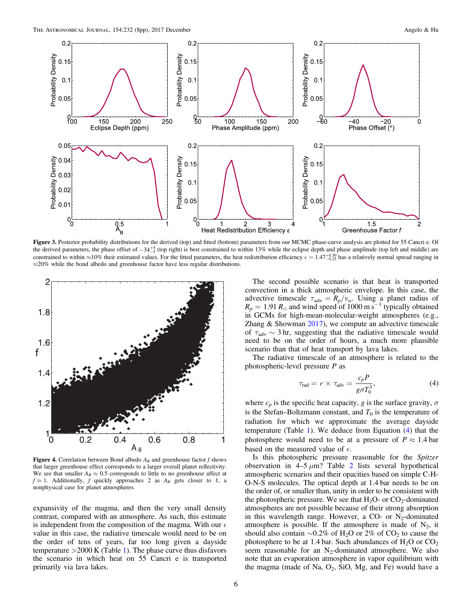<span id="page-5-0"></span>

Figure 3. Posterior probability distributions for the derived (top) and fitted (bottom) parameters from our MCMC phase-curve analysis are plotted for 55 Cancri e. Of the derived parameters, the phase offset of  $-34\frac{+4}{-5}$  (top right) is best constrained to within 13% while the eclipse depth and phase amplitude (top left and middle) are constrained to within  $\approx$ 10% their estimated values. For the fitted parameters, the heat redistribution efficiency  $\epsilon = 1.47^{+0.30}_{-0.25}$  has a relatively normal spread ranging in ≈20% while the bond albedo and greenhouse factor have less regular distributions.



**Figure 4.** Correlation between Bond albedo  $A_B$  and greenhouse factor f shows that larger greenhouse effect corresponds to a larger overall planet reflectivity. We see that smaller  $A_B \approx 0.5$  corresponds to little to no greenhouse affect at  $f \approx 1$ . Additionally, f quickly approaches 2 as  $A_B$  gets closer to 1, a nonphysical case for planet atmospheres.

expansivity of the magma, and then the very small density contrast, compared with an atmosphere. As such, this estimate is independent from the composition of the magma. With our  $\epsilon$ value in this case, the radiative timescale would need to be on the order of tens of years, far too long given a dayside temperature  $>2000$  K (Table [1](#page-3-0)). The phase curve thus disfavors the scenario in which heat on 55 Cancri e is transported primarily via lava lakes.

The second possible scenario is that heat is transported convection in a thick atmospheric envelope. In this case, the advective timescale  $\tau_{\text{adv}} = R_p/v_w$ . Using a planet radius of  $R_p = 1.91 R_{\oplus}$  and wind speed of 1000 m s<sup>-1</sup> typically obtained in GCMs for high-mean-molecular-weight atmospheres (e.g., Zhang  $&$  Showman  $2017$ ), we compute an advective timescale of  $\tau_{\text{adv}} \sim 3$  hr, suggesting that the radiative timescale would need to be on the order of hours, a much more plausible scenario than that of heat transport by lava lakes.

The radiative timescale of an atmosphere is related to the photospheric-level pressure P as

$$
\tau_{\text{rad}} = \epsilon \times \tau_{\text{adv}} = \frac{c_p P}{g \sigma T_0^3},\tag{4}
$$

where  $c_p$  is the specific heat capacity, g is the surface gravity,  $\sigma$ is the Stefan–Boltzmann constant, and  $T_0$  is the temperature of radiation for which we approximate the average dayside temperature (Table [1](#page-3-0)). We deduce from Equation (4) that the photosphere would need to be at a pressure of  $P \approx 1.4$  bar based on the measured value of  $\epsilon$ .

Is this photospheric pressure reasonable for the Spitzer observation in  $4-5 \mu m$ ? Table [2](#page-6-0) lists several hypothetical atmospheric scenarios and their opacities based on simple C-H-O-N-S molecules. The optical depth at 1.4 bar needs to be on the order of, or smaller than, unity in order to be consistent with the photospheric pressure. We see that  $H_2O$ - or  $CO_2$ -dominated atmospheres are not possible because of their strong absorption in this wavelength range. However, a CO- or  $N_2$ -dominated atmosphere is possible. If the atmosphere is made of  $N_2$ , it should also contain ~0.2% of H<sub>2</sub>O or 2% of CO<sub>2</sub> to cause the photosphere to be at 1.4 bar. Such abundances of  $H_2O$  or  $CO_2$ seem reasonable for an  $N_2$ -dominated atmosphere. We also note that an evaporation atmosphere in vapor equilibrium with the magma (made of Na,  $O_2$ , SiO, Mg, and Fe) would have a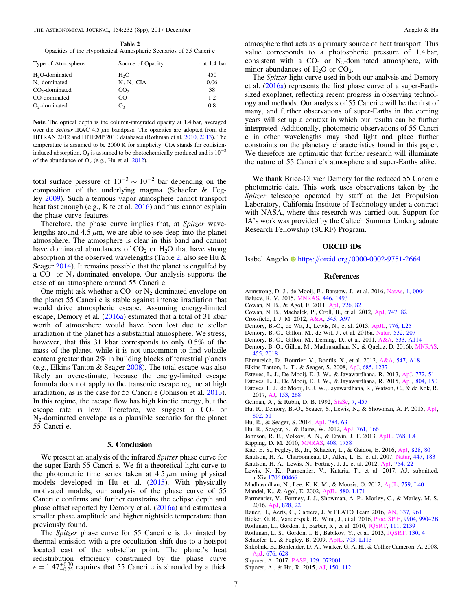<span id="page-6-0"></span>Table 2 Opacities of the Hypothetical Atmospheric Scenarios of 55 Cancri e

| Type of Atmosphere         | Source of Opacity | $\tau$ at 1.4 bar |
|----------------------------|-------------------|-------------------|
| H <sub>2</sub> O-dominated | H <sub>2</sub> O  | 450               |
| $N_2$ -dominated           | $N_2-N_2$ CIA     | 0.06              |
| $CO2$ -dominated           | CO <sub>2</sub>   | 38                |
| CO-dominated               | CO.               | 1.2               |
| $O2$ -dominated            | O <sub>3</sub>    | 0.8               |
|                            |                   |                   |

Note. The optical depth is the column-integrated opacity at 1.4 bar, averaged over the Spitzer IRAC 4.5  $\mu$ m bandpass. The opacities are adopted from the HITRAN 2012 and HITEMP 2010 databases (Rothman et al. 2010, 2013). The temperature is assumed to be 2000 K for simplicity. CIA stands for collisioninduced absorption. O<sub>3</sub> is assumed to be photochemically produced and is  $10^{-3}$ of the abundance of  $O_2$  (e.g., Hu et al. 2012).

total surface pressure of  $10^{-3} \sim 10^{-2}$  bar depending on the composition of the underlying magma (Schaefer & Fegley 2009). Such a tenuous vapor atmosphere cannot transport heat fast enough (e.g., Kite et al. 2016) and thus cannot explain the phase-curve features.

Therefore, the phase curve implies that, at Spitzer wavelengths around 4.5  $\mu$ m, we are able to see deep into the planet atmosphere. The atmosphere is clear in this band and cannot have dominated abundances of  $CO<sub>2</sub>$  or  $H<sub>2</sub>O$  that have strong absorption at the observed wavelengths (Table 2, also see Hu & Seager 2014). It remains possible that the planet is engulfed by a CO- or  $N_2$ -dominated envelope. Our analysis supports the case of an atmosphere around 55 Cancri e.

One might ask whether a CO- or  $N_2$ -dominated envelope on the planet 55 Cancri e is stable against intense irradiation that would drive atmospheric escape. Assuming energy-limited escape, Demory et al. (2016a) estimated that a total of 31 kbar worth of atmosphere would have been lost due to stellar irradiation if the planet has a substantial atmosphere. We stress, however, that this 31 kbar corresponds to only 0.5% of the mass of the planet, while it is not uncommon to find volatile content greater than 2% in building blocks of terrestrial planets (e.g., Elkins-Tanton & Seager 2008). The total escape was also likely an overestimate, because the energy-limited escape formula does not apply to the transonic escape regime at high irradiation, as is the case for 55 Cancri e (Johnson et al. 2013). In this regime, the escape flow has high kinetic energy, but the escape rate is low. Therefore, we suggest a CO- or  $N_2$ -dominated envelope as a plausible scenario for the planet 55 Cancri e.

### 5. Conclusion

We present an analysis of the infrared Spitzer phase curve for the super-Earth 55 Cancri e. We fit a theoretical light curve to the photometric time series taken at  $4.5 \mu m$  using physical models developed in Hu et al. (2015). With physically motivated models, our analysis of the phase curve of 55 Cancri e confirms and further constrains the eclipse depth and phase offset reported by Demory et al. (2016a) and estimates a smaller phase amplitude and higher nightside temperature than previously found.

The *Spitzer* phase curve for 55 Cancri e is dominated by thermal emission with a pre-occultation shift due to a hotspot located east of the substellar point. The planet's heat redistribution efficiency constrained by the phase curve  $\epsilon = 1.47^{+0.30}_{-0.25}$  requires that 55 Cancri e is shrouded by a thick

atmosphere that acts as a primary source of heat transport. This value corresponds to a photospheric pressure of 1.4 bar, consistent with a  $CO-$  or N<sub>2</sub>-dominated atmosphere, with minor abundances of  $H_2O$  or  $CO_2$ .

The Spitzer light curve used in both our analysis and Demory et al. (2016a) represents the first phase curve of a super-Earthsized exoplanet, reflecting recent progress in observing technology and methods. Our analysis of 55 Cancri e will be the first of many, and further observations of super-Earths in the coming years will set up a context in which our results can be further interpreted. Additionally, photometric observations of 55 Cancri e in other wavelengths may shed light and place further constraints on the planetary characteristics found in this paper. We therefore are optimistic that further research will illuminate the nature of 55 Cancri e's atmosphere and super-Earths alike.

We thank Brice-Olivier Demory for the reduced 55 Cancri e photometric data. This work uses observations taken by the Spitzer telescope operated by staff at the Jet Propulsion Laboratory, California Institute of Technology under a contract with NASA, where this research was carried out. Support for IA's work was provided by the Caltech Summer Undergraduate Research Fellowship (SURF) Program.

# ORCID iDs

Isabel Angelo [https:](https://orcid.org/0000-0002-9751-2664)//orcid.org/[0000-0002-9751-2664](https://orcid.org/0000-0002-9751-2664)

### References

- Armstrong, D. J., de Mooij, E., Barstow, J., et al. 2016, [NatAs](https://doi.org/10.1038/s41550-016-0004), [1, 0004](http://adsabs.harvard.edu/abs/2016NatAs...1E...4A)
- Baluev, R. V. 2015, [MNRAS](https://doi.org/10.1093/mnras/stu2150), [446, 1493](http://adsabs.harvard.edu/abs/2015MNRAS.446.1493B)
- Cowan, N. B., & Agol, E. 2011, [ApJ,](https://doi.org/10.1088/0004-637X/726/2/82) [726, 82](http://adsabs.harvard.edu/abs/2011ApJ...726...82C)
- Cowan, N. B., Machalek, P., Croll, B., et al. 2012, [ApJ,](https://doi.org/10.1088/0004-637X/747/1/82) [747, 82](http://adsabs.harvard.edu/abs/2012ApJ...747...82C)
- Crossfield, I. J. M. 2012, [A&A](https://doi.org/10.1051/0004-6361/201219826), [545, A97](http://adsabs.harvard.edu/abs/2012A&A...545A..97C)
- Demory, B.-O., de Wit, J., Lewis, N., et al. 2013, [ApJL](https://doi.org/10.1088/2041-8205/776/2/L25), [776, L25](http://adsabs.harvard.edu/abs/2013ApJ...776L..25D)
- Demory, B.-O., Gillon, M., de Wit, J., et al. 2016a, [Natur](https://doi.org/10.1038/nature17169), [532, 207](http://adsabs.harvard.edu/abs/2016Natur.532..207D)
- Demory, B.-O., Gillon, M., Deming, D., et al. 2011, [A&A,](https://doi.org/10.1051/0004-6361/201117178) [533, A114](http://adsabs.harvard.edu/abs/2011A&A...533A.114D)
- Demory, B.-O., Gillon, M., Madhusudhan, N., & Queloz, D. 2016b, [MNRAS](https://doi.org/10.1093/mnras/stv2239)[,](http://adsabs.harvard.edu/abs/2016MNRAS.455.2018D) [455, 2018](http://adsabs.harvard.edu/abs/2016MNRAS.455.2018D)
- Ehrenreich, D., Bourrier, V., Bonfils, X., et al. 2012, [A&A,](https://doi.org/10.1051/0004-6361/201219981) [547, A18](http://adsabs.harvard.edu/abs/2012A&A...547A..18E)
- Elkins-Tanton, L. T., & Seager, S. 2008, [ApJ,](https://doi.org/10.1086/591433) [685, 1237](http://adsabs.harvard.edu/abs/2008ApJ...685.1237E)
- Esteves, L. J., De Mooij, E. J. W., & Jayawardhana, R. 2013, [ApJ,](https://doi.org/10.1088/0004-637X/772/1/51) [772, 51](http://adsabs.harvard.edu/abs/2013ApJ...772...51E)
- Esteves, L. J., De Mooij, E. J. W., & Jayawardhana, R. 2015, [ApJ,](https://doi.org/10.1088/0004-637X/804/2/150) [804, 150](http://adsabs.harvard.edu/abs/2015ApJ...804..150E)
- Esteves, L. J., de Mooij, E. J. W., Jayawardhana, R., Watson, C., & de Kok, R. 2017, [AJ](https://doi.org/10.3847/1538-3881/aa7133), [153, 268](http://adsabs.harvard.edu/abs/2017AJ....153..268E)
- Gelman, A., & Rubin, D. B. 1992, [StaSc,](https://doi.org/10.1214/ss/1177011136) [7, 457](http://adsabs.harvard.edu/abs/1992StaSc...7..457G)
- Hu, R., Demory, B.-O., Seager, S., Lewis, N., & Showman, A. P. 2015, [ApJ](https://doi.org/10.1088/0004-637X/802/1/51)[,](http://adsabs.harvard.edu/abs/2015ApJ...802...51H) [802, 51](http://adsabs.harvard.edu/abs/2015ApJ...802...51H)
- Hu, R., & Seager, S. 2014, [ApJ,](https://doi.org/10.1088/0004-637X/784/1/63) [784, 63](http://adsabs.harvard.edu/abs/2014ApJ...784...63H)
- Hu, R., Seager, S., & Bains, W. 2012, [ApJ](https://doi.org/10.1088/0004-637X/761/2/166), [761, 166](http://adsabs.harvard.edu/abs/2012ApJ...761..166H)
- Johnson, R. E., Volkov, A. N., & Erwin, J. T. 2013, [ApJL](https://doi.org/10.1088/2041-8205/768/1/L4), [768, L4](http://adsabs.harvard.edu/abs/2013ApJ...768L...4J)
- Kipping, D. M. 2010, [MNRAS](https://doi.org/10.1111/j.1365-2966.2010.17242.x), [408, 1758](http://adsabs.harvard.edu/abs/2010MNRAS.408.1758K)
- Kite, E. S., Fegley, B., Jr., Schaefer, L., & Gaidos, E. 2016, [ApJ](https://doi.org/10.3847/0004-637X/828/2/80), [828, 80](http://adsabs.harvard.edu/abs/2016ApJ...828...80K)
- Knutson, H. A., Charbonneau, D., Allen, L. E., et al. 2007, [Natur,](https://doi.org/10.1038/nature05782) [447, 183](http://adsabs.harvard.edu/abs/2007Natur.447..183K)
- Knutson, H. A., Lewis, N., Fortney, J. J., et al. 2012, [ApJ](https://doi.org/10.1088/0004-637X/754/1/22), [754, 22](http://adsabs.harvard.edu/abs/2012ApJ...754...22K)
- Lewis, N. K., Parmentier, V., Kataria, T., et al. 2017, AJ, submitted, arXiv:[1706.00466](http://arxiv.org/abs/1706.00466)
- Madhusudhan, N., Lee, K. K. M., & Mousis, O. 2012, [ApJL](https://doi.org/10.1088/2041-8205/759/2/L40), [759, L40](http://adsabs.harvard.edu/abs/2012ApJ...759L..40M)
- Mandel, K., & Agol, E. 2002, [ApJL](https://doi.org/10.1086/345520), [580, L171](http://adsabs.harvard.edu/abs/2002ApJ...580L.171M)
- Parmentier, V., Fortney, J. J., Showman, A. P., Morley, C., & Marley, M. S. 2016, [ApJ](https://doi.org/10.3847/0004-637X/828/1/22), [828, 22](http://adsabs.harvard.edu/abs/2016ApJ...828...22P)
- Rauer, H., Aerts, C., Cabrera, J. & PLATO Team 2016, [AN](https://doi.org/10.1002/asna.201612408), [337, 961](http://adsabs.harvard.edu/abs/2016AN....337..961R)
- Ricker, G. R., Vanderspek, R., Winn, J., et al. 2016, [Proc. SPIE,](https://doi.org/10.1117/12.2232071) [9904, 99042B](http://adsabs.harvard.edu/abs/2016SPIE.9904E..2BR)
- Rothman, L., Gordon, I., Barber, R., et al. 2010, [JQSRT,](https://doi.org/10.1016/j.jqsrt.2010.05.001) [111, 2139](http://adsabs.harvard.edu/abs/2010JQSRT.111.2139R)
- Rothman, L. S., Gordon, I. E., Babikov, Y., et al. 2013, [JQSRT](https://doi.org/10.1016/j.jqsrt.2013.07.002), [130, 4](http://adsabs.harvard.edu/abs/2013JQSRT.130....4R)
- Schaefer, L., & Fegley, B. 2009, [ApJL,](https://doi.org/10.1088/0004-637X/703/2/L113) [703, L113](http://adsabs.harvard.edu/abs/2009ApJ...703L.113S)
- Shkolnik, E., Bohlender, D. A., Walker, G. A. H., & Collier Cameron, A. 2008, [ApJ,](https://doi.org/10.1086/527351) [676, 628](http://adsabs.harvard.edu/abs/2008ApJ...676..628S)
- Shporer, A. 2017, [PASP](https://doi.org/10.1088/1538-3873/aa7112), [129, 072001](http://adsabs.harvard.edu/abs/2017PASP..129g2001S)

Shporer, A., & Hu, R. 2015, [AJ](https://doi.org/10.1088/0004-6256/150/4/112), [150, 112](http://adsabs.harvard.edu/abs/2015AJ....150..112S)